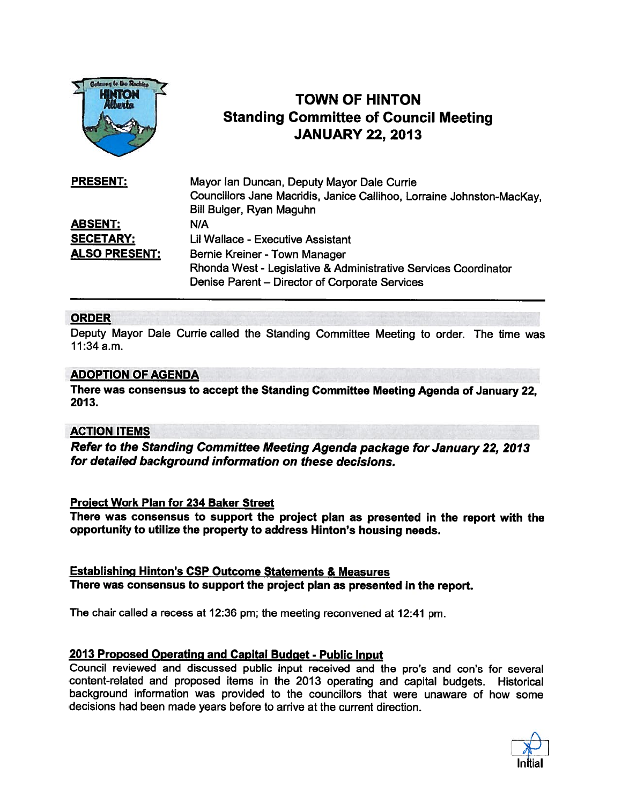

# TOWN OF HINTON Standing Committee of Council Meeting JANUARY 22, 2013

| <b>PRESENT:</b>      | Mayor Ian Duncan, Deputy Mayor Dale Currie                            |
|----------------------|-----------------------------------------------------------------------|
|                      | Councillors Jane Macridis, Janice Callihoo, Lorraine Johnston-MacKay. |
|                      | Bill Bulger, Ryan Maguhn                                              |
| <b>ABSENT:</b>       | N/A                                                                   |
| <b>SECETARY:</b>     | Lil Wallace - Executive Assistant                                     |
| <b>ALSO PRESENT:</b> | Bernie Kreiner - Town Manager                                         |
|                      | Rhonda West - Legislative & Administrative Services Coordinator       |
|                      | Denise Parent - Director of Corporate Services                        |

## ORDER

Deputy Mayor Dale Currie called the Standing Committee Meeting to order. The time was 11:34a.m.

#### ADOPTION OF AGENDA

There was consensus to accep<sup>t</sup> the Standing Committee Meeting Agenda of January 22, 2013.

### ACTION ITEMS

Refer to the Standing Committee Meeting Agenda package for January 22, 2013 for detailed background information on these decisions.

#### Project Work Plan for 234 Baker Street

There was consensus to suppor<sup>t</sup> the project <sup>p</sup>lan as presented in the repor<sup>t</sup> with the opportunity to utilize the property to address Hinton's housing needs.

Establishing Hinton's CSP Outcome Statements & Measures There was consensus to suppor<sup>t</sup> the project <sup>p</sup>lan as presented in the report.

The chair called <sup>a</sup> recess at 12:36 pm; the meeting reconvened at 12:41 pm.

#### <sup>2013</sup> Proposed Operating and Capital Budget - Public Input

Council reviewed and discussed public input received and the pro's and con's for several content-related and proposed items in the <sup>2013</sup> operating and capital budgets. Historical background information was provided to the councillors that were unaware of how some decisions had been made years before to arrive at the current direction.

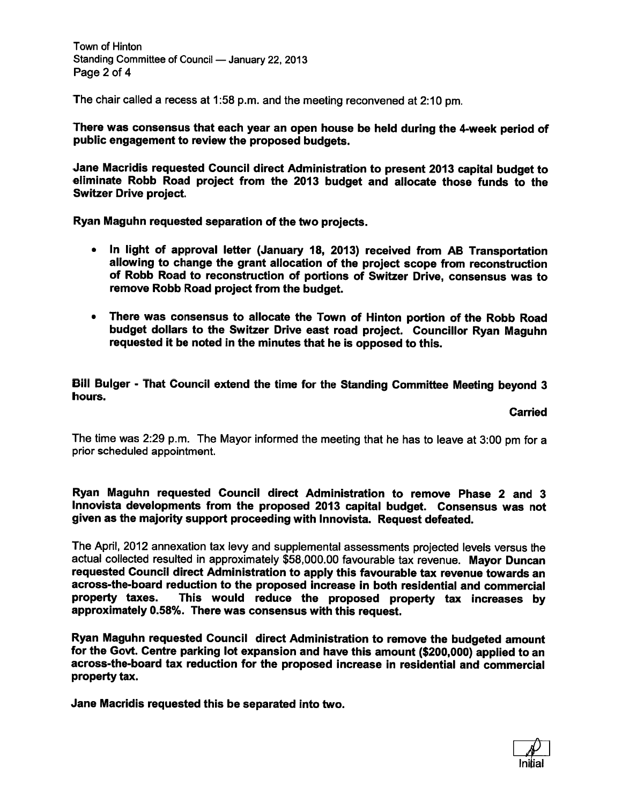Town of Hinton Standing Committee of Council — January 22, 2013 Page 2 of 4

The chair called <sup>a</sup> recess at 1:58 p.m. and the meeting reconvened at 2:10 pm.

There was consensus that each year an open house be held during the 4-week period of public engagemen<sup>t</sup> to review the proposed budgets.

Jane Macridis requested Council direct Administration to presen<sup>t</sup> <sup>2013</sup> capital budget to eliminate Robb Road project from the <sup>2013</sup> budget and allocate those funds to the Switzer Drive project.

Ryan Maguhn requested separation of the two projects.

- • In light of approva<sup>l</sup> letter (January 18, 2013) received from AB Transportation allowing to change the gran<sup>t</sup> allocation of the project scope from reconstruction of Robb Road to reconstruction of portions of Switzer Drive, consensus was to remove Robb Road project from the budget.
- There was consensus to allocate the Town of Hinton portion of the Robb Road budget dollars to the Switzer Drive east road project. Councillor Ryan Maguhn requested it be noted in the minutes that he is opposed to this.

Bill Bulger - That Council extend the time for the Standing Committee Meeting beyond <sup>3</sup> hours.

#### Carried

The time was 2:29 p.m. The Mayor informed the meeting that he has to leave at 3:00 pm for <sup>a</sup> prior scheduled appointment.

#### Ryan Maguhn requested Council direct Administration to remove Phase 2 and 3 Innovista developments from the propose<sup>d</sup> <sup>2013</sup> capital budget. Consensus was not <sup>g</sup>iven as the majority suppor<sup>t</sup> proceeding with Innovista. Request defeated.

The April, <sup>2012</sup> annexation tax levy and supplemental assessments projected levels versus the actual collected resulted in approximately \$58,000.00 favourable tax revenue. Mayor Duncan requested Council direct Administration to apply this favourable tax revenue towards an across-the-board reduction to the proposed increase in both residential and commercial This would reduce the proposed property tax increases by approximately 0.58%. There was consensus with this request.

Ryan Maguhn requested Council direct Administration to remove the budgeted amount for the Govt. Centre parking lot expansion and have this amount (\$200,000) applied to an across-the-board tax reduction for the proposed increase in residential and commercial property tax.

Jane Macridis requested this be separated into two.

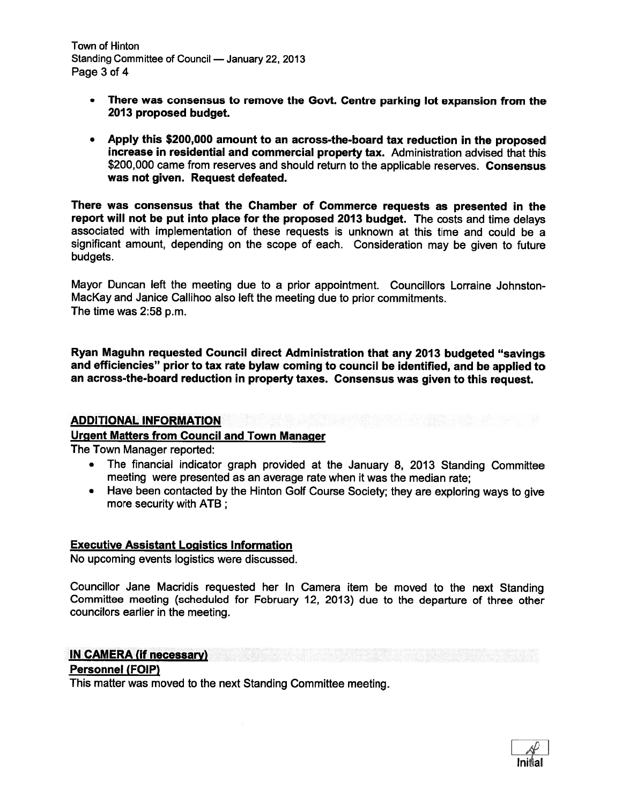Town of Hinton Standing Committee of Council — January 22, 2013 Page 3 of 4

- There was consensus to remove the Govt. Centre parking lot expansion from the 2013 proposed budget.
- Apply this \$200,000 amount to an across-the-board tax reduction in the propose<sup>d</sup> increase in residential and commercial property tax. Administration advised that this \$200,000 came from reserves and should return to the applicable reserves. Consensus was not given. Request defeated.

There was consensus that the Chamber of Commerce requests as presented in the report will not be put into place for the proposed 2013 budget. The costs and time delays associated with implementation of these requests is unknown at this time and could be <sup>a</sup> significant amount, depending on the scope of each. Consideration may be <sup>g</sup>iven to future budgets.

Mayor Duncan left the meeting due to <sup>a</sup> prior appointment. Councillors Lorraine Johnston MacKay and Janice Callihoo also left the meeting due to prior commitments. The time was 2:58 p.m.

Ryan Maguhn requested Council direct Administration that any <sup>2013</sup> budgeted "savings and efficiencies" prior to tax rate bylaw coming to council be identified, and be applied to an across-the-board reduction in property taxes. Consensus was <sup>g</sup>iven to this request.

### ADDITIONAL INFORMATION

## Urgent Matters from Council and Town Manager

The Town Manager reported:

- • The financial indicator grap<sup>h</sup> provided at the January 8, <sup>2013</sup> Standing Committee meeting were presented as an average rate when it was the median rate;
- Have been contacted by the Hinton Golf Course Society; they are exploring ways to <sup>g</sup>ive more security with ATB;

### Executive Assistant Logistics Information

No upcoming events logistics were discussed.

Councillor Jane Macridis requested her In Camera item be moved to the next Standing Committee meeting (scheduled for February 12, 2013) due to the departure of three other councilors earlier in the meeting.

### IN CAMERA (if necessary)

### Personnel (FOIP)

This matter was moved to the next Standing Committee meeting.